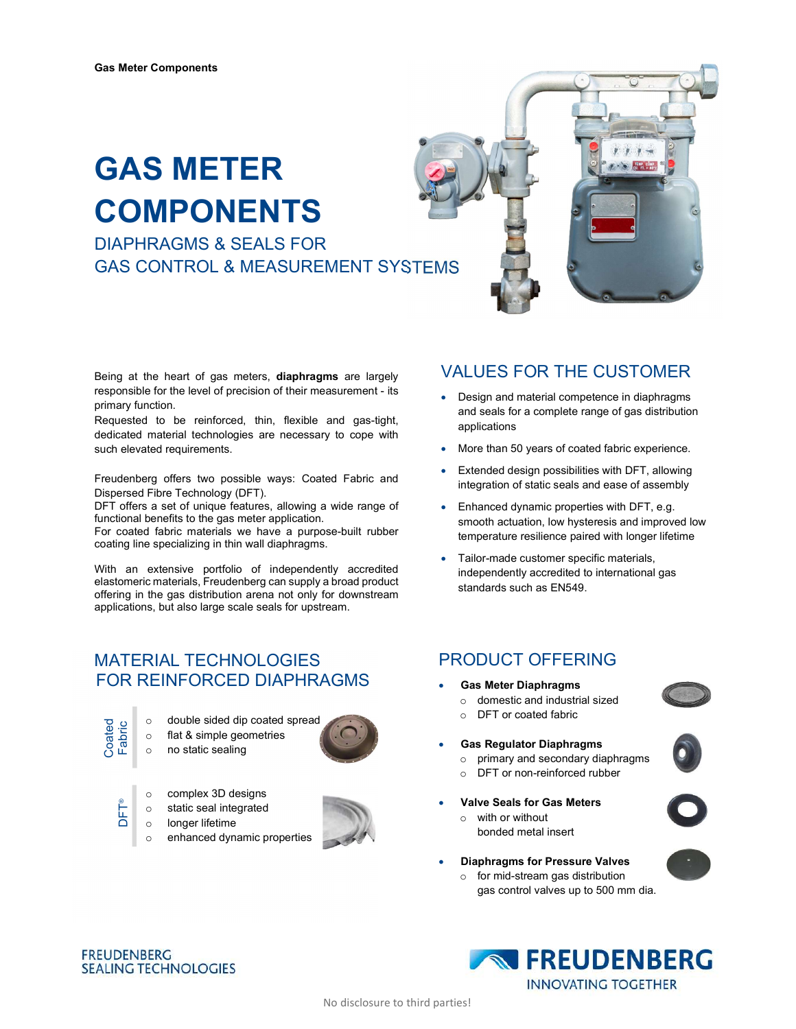# GAS METER COMPONENTS

DIAPHRAGMS & SEALS FOR GAS CONTROL & MEASUREMENT SYSTEMS



Being at the heart of gas meters, diaphragms are largely responsible for the level of precision of their measurement - its primary function.

Requested to be reinforced, thin, flexible and gas-tight, dedicated material technologies are necessary to cope with such elevated requirements.

Freudenberg offers two possible ways: Coated Fabric and Dispersed Fibre Technology (DFT).

DFT offers a set of unique features, allowing a wide range of functional benefits to the gas meter application.

For coated fabric materials we have a purpose-built rubber coating line specializing in thin wall diaphragms.

With an extensive portfolio of independently accredited elastomeric materials, Freudenberg can supply a broad product offering in the gas distribution arena not only for downstream applications, but also large scale seals for upstream.

### MATERIAL TECHNOLOGIES FOR REINFORCED DIAPHRAGMS

- 
- o double sided dip coated spread o flat & simple geometries
- o no static sealing



- o complex 3D designs
- o static seal integrated

**FREUDENBERG** 

longer lifetime

**SEALING TECHNOLOGIES** 



### VALUES FOR THE CUSTOMER

- Design and material competence in diaphragms and seals for a complete range of gas distribution applications
- More than 50 years of coated fabric experience.
- Extended design possibilities with DFT, allowing integration of static seals and ease of assembly
- Enhanced dynamic properties with DFT, e.g. smooth actuation, low hysteresis and improved low temperature resilience paired with longer lifetime
- Tailor-made customer specific materials, independently accredited to international gas standards such as EN549.

### PRODUCT OFFERING

- Gas Meter Diaphragms
	- o domestic and industrial sized
	- o DFT or coated fabric
- Gas Regulator Diaphragms
	- o primary and secondary diaphragms
	- o DFT or non-reinforced rubber
- Valve Seals for Gas Meters
	- o with or without bonded metal insert
- Diaphragms for Pressure Valves
	- for mid-stream gas distribution gas control valves up to 500 mm dia.